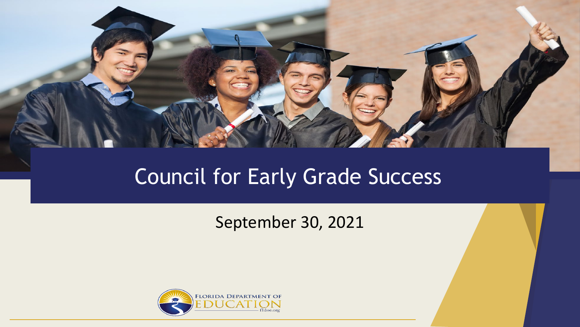

#### Council for Early Grade Success

#### September 30, 2021

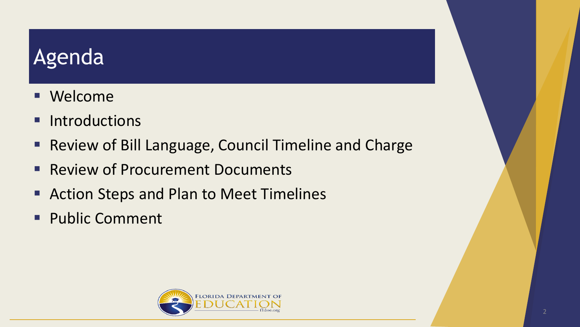#### **Agenda**

- **Nelcome**
- **Introductions**
- Review of Bill Language, Council Timeline and Charge
- **Review of Procurement Documents**
- Action Steps and Plan to Meet Timelines
- **Public Comment**

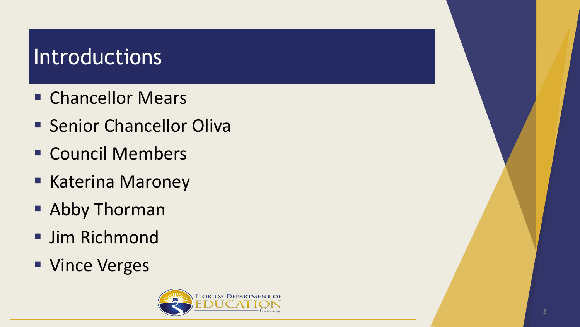#### Introductions

- **E** Chancellor Mears
- **E** Senior Chancellor Oliva
- **E** Council Members
- Katerina Maroney
- **Abby Thorman**
- **Jim Richmond**
- **Vince Verges**

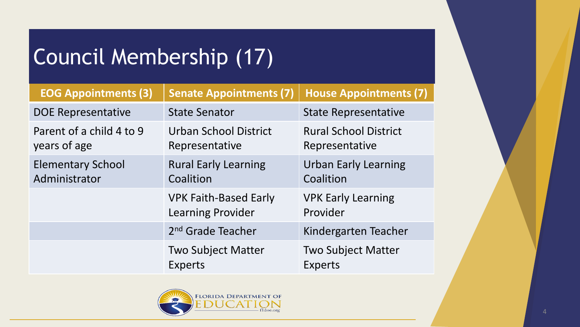# Council Membership (17)

| <b>EOG Appointments (3)</b>               | <b>Senate Appointments (7)</b>                    | <b>House Appointments (7)</b>                  |
|-------------------------------------------|---------------------------------------------------|------------------------------------------------|
| <b>DOE Representative</b>                 | <b>State Senator</b>                              | <b>State Representative</b>                    |
| Parent of a child 4 to 9<br>years of age  | Urban School District<br>Representative           | <b>Rural School District</b><br>Representative |
| <b>Elementary School</b><br>Administrator | <b>Rural Early Learning</b><br>Coalition          | <b>Urban Early Learning</b><br>Coalition       |
|                                           | <b>VPK Faith-Based Early</b><br>Learning Provider | <b>VPK Early Learning</b><br>Provider          |
|                                           | 2 <sup>nd</sup> Grade Teacher                     | Kindergarten Teacher                           |
|                                           | <b>Two Subject Matter</b><br>Experts              | <b>Two Subject Matter</b><br><b>Experts</b>    |

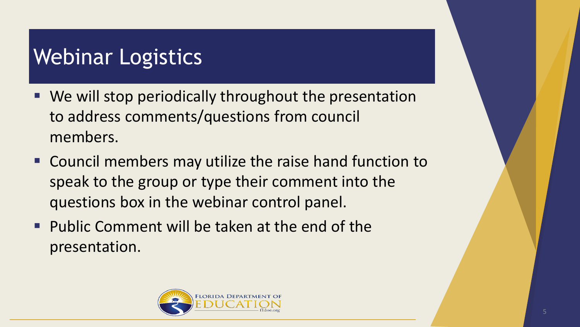#### Webinar Logistics

- We will stop periodically throughout the presentation to address comments/questions from council members.
- Council members may utilize the raise hand function to speak to the group or type their comment into the questions box in the webinar control panel.
- **Public Comment will be taken at the end of the** presentation.

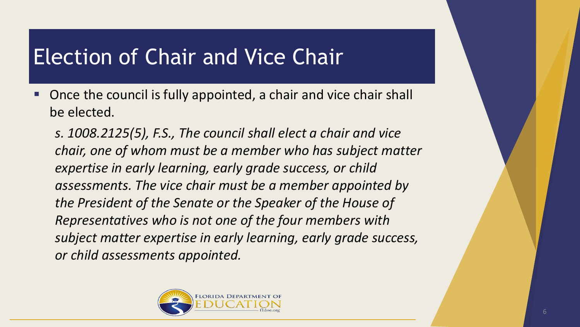#### Election of Chair and Vice Chair

 Once the council is fully appointed, a chair and vice chair shall be elected.

*s. 1008.2125(5), F.S., The council shall elect a chair and vice chair, one of whom must be a member who has subject matter expertise in early learning, early grade success, or child assessments. The vice chair must be a member appointed by the President of the Senate or the Speaker of the House of Representatives who is not one of the four members with subject matter expertise in early learning, early grade success, or child assessments appointed.*

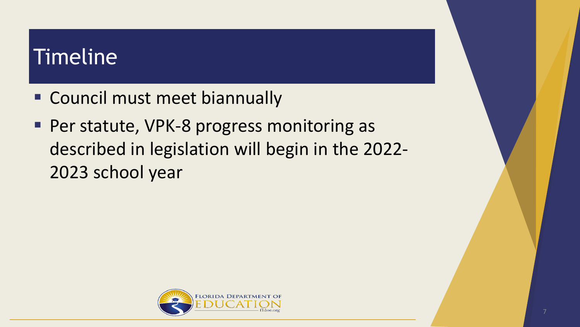#### Timeline

- Council must meet biannually
- Per statute, VPK-8 progress monitoring as described in legislation will begin in the 2022- 2023 school year

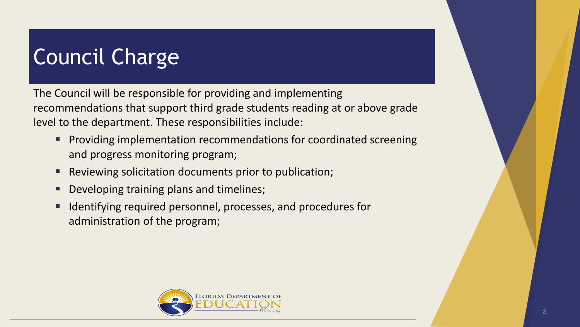# Council Charge

The Council will be responsible for providing and implementing recommendations that support third grade students reading at or above grade level to the department. These responsibilities include:

- **Providing implementation recommendations for coordinated screening** and progress monitoring program;
- **Reviewing solicitation documents prior to publication;**
- **Developing training plans and timelines;**
- Identifying required personnel, processes, and procedures for administration of the program;

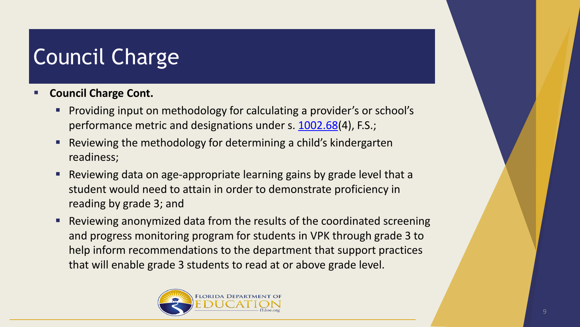# Council Charge

- **Council Charge Cont.**
	- Providing input on methodology for calculating a provider's or school's performance metric and designations under s. [1002.68\(](http://www.leg.state.fl.us/statutes/index.cfm?App_mode=Display_Statute&Search_String=&URL=1000-1099/1002/Sections/1002.68.html)4), F.S.;
	- Reviewing the methodology for determining a child's kindergarten readiness;
	- Reviewing data on age-appropriate learning gains by grade level that a student would need to attain in order to demonstrate proficiency in reading by grade 3; and
	- Reviewing anonymized data from the results of the coordinated screening and progress monitoring program for students in VPK through grade 3 to help inform recommendations to the department that support practices that will enable grade 3 students to read at or above grade level.

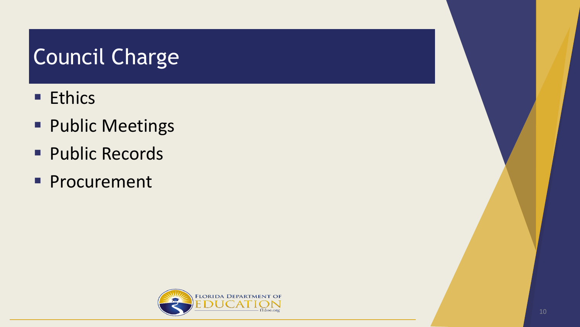# Council Charge

- **Ethics**
- **Public Meetings**
- **Public Records**
- **Procurement**

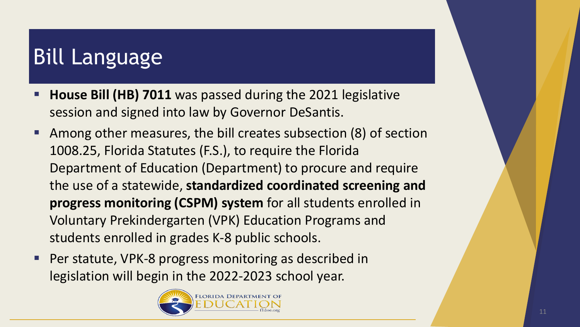# Bill Language

- **House Bill (HB) 7011** was passed during the 2021 legislative session and signed into law by Governor DeSantis.
- Among other measures, the bill creates subsection (8) of section 1008.25, Florida Statutes (F.S.), to require the Florida Department of Education (Department) to procure and require the use of a statewide, **standardized coordinated screening and progress monitoring (CSPM) system** for all students enrolled in Voluntary Prekindergarten (VPK) Education Programs and students enrolled in grades K-8 public schools.
- Per statute, VPK-8 progress monitoring as described in legislation will begin in the 2022-2023 school year.

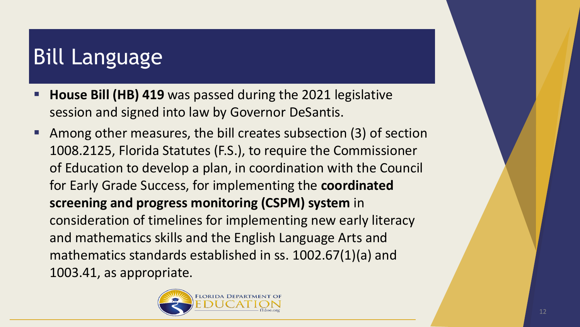# Bill Language

- **House Bill (HB) 419** was passed during the 2021 legislative session and signed into law by Governor DeSantis.
- Among other measures, the bill creates subsection (3) of section 1008.2125, Florida Statutes (F.S.), to require the Commissioner of Education to develop a plan, in coordination with the Council for Early Grade Success, for implementing the **coordinated screening and progress monitoring (CSPM) system** in consideration of timelines for implementing new early literacy and mathematics skills and the English Language Arts and mathematics standards established in ss. 1002.67(1)(a) and 1003.41, as appropriate.

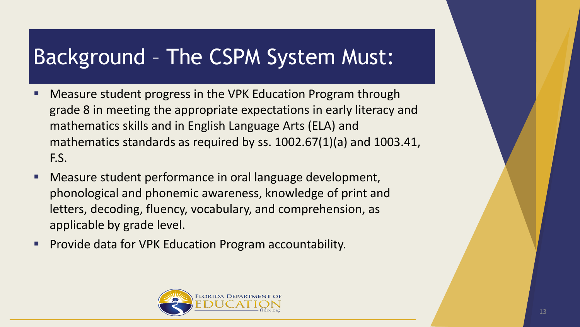#### Background – The CSPM System Must:

- Measure student progress in the VPK Education Program through grade 8 in meeting the appropriate expectations in early literacy and mathematics skills and in English Language Arts (ELA) and mathematics standards as required by ss. 1002.67(1)(a) and 1003.41, F.S.
- Measure student performance in oral language development, phonological and phonemic awareness, knowledge of print and letters, decoding, fluency, vocabulary, and comprehension, as applicable by grade level.
- **Provide data for VPK Education Program accountability.**

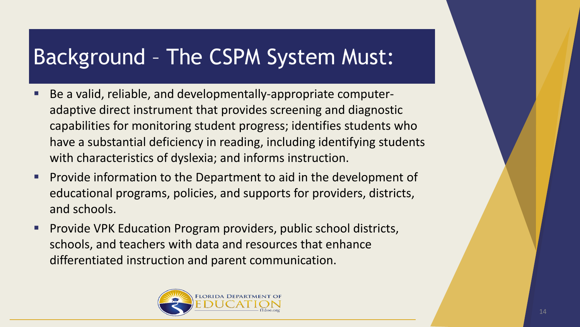#### Background – The CSPM System Must:

- Be a valid, reliable, and developmentally-appropriate computeradaptive direct instrument that provides screening and diagnostic capabilities for monitoring student progress; identifies students who have a substantial deficiency in reading, including identifying students with characteristics of dyslexia; and informs instruction.
- **Provide information to the Department to aid in the development of** educational programs, policies, and supports for providers, districts, and schools.
- **Provide VPK Education Program providers, public school districts,** schools, and teachers with data and resources that enhance differentiated instruction and parent communication.

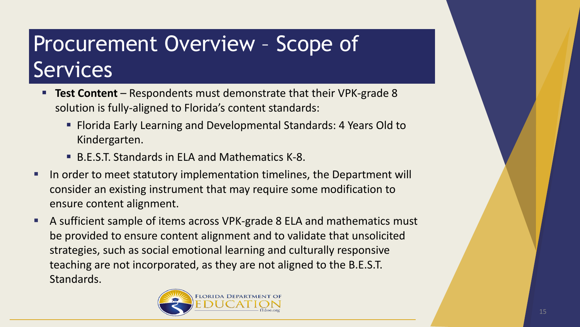- **Test Content** Respondents must demonstrate that their VPK-grade 8 solution is fully-aligned to Florida's content standards:
	- Florida Early Learning and Developmental Standards: 4 Years Old to Kindergarten.
	- B.E.S.T. Standards in ELA and Mathematics K-8.
- **If** In order to meet statutory implementation timelines, the Department will consider an existing instrument that may require some modification to ensure content alignment.
- A sufficient sample of items across VPK-grade 8 ELA and mathematics must be provided to ensure content alignment and to validate that unsolicited strategies, such as social emotional learning and culturally responsive teaching are not incorporated, as they are not aligned to the B.E.S.T. Standards.

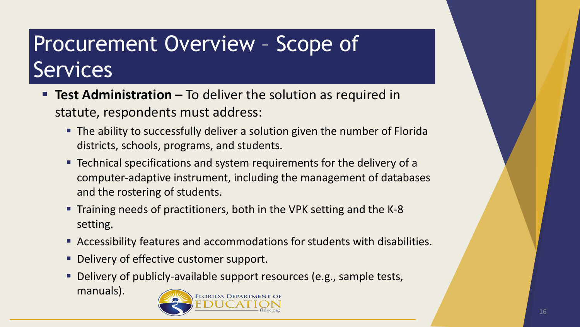- **Test Administration** To deliver the solution as required in statute, respondents must address:
	- The ability to successfully deliver a solution given the number of Florida districts, schools, programs, and students.
	- **Technical specifications and system requirements for the delivery of a** computer-adaptive instrument, including the management of databases and the rostering of students.
	- Training needs of practitioners, both in the VPK setting and the K-8 setting.
	- Accessibility features and accommodations for students with disabilities.
	- **Delivery of effective customer support.**
	- Delivery of publicly-available support resources (e.g., sample tests,

manuals).

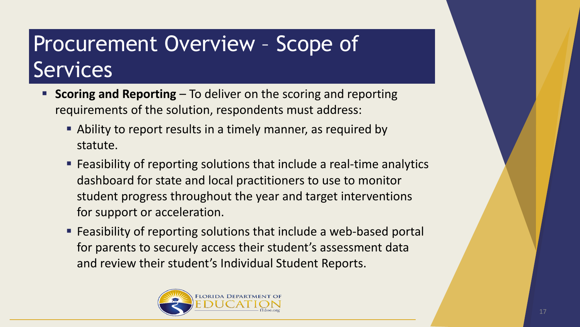- **Scoring and Reporting** To deliver on the scoring and reporting requirements of the solution, respondents must address:
	- Ability to report results in a timely manner, as required by statute.
	- Feasibility of reporting solutions that include a real-time analytics dashboard for state and local practitioners to use to monitor student progress throughout the year and target interventions for support or acceleration.
	- Feasibility of reporting solutions that include a web-based portal for parents to securely access their student's assessment data and review their student's Individual Student Reports.

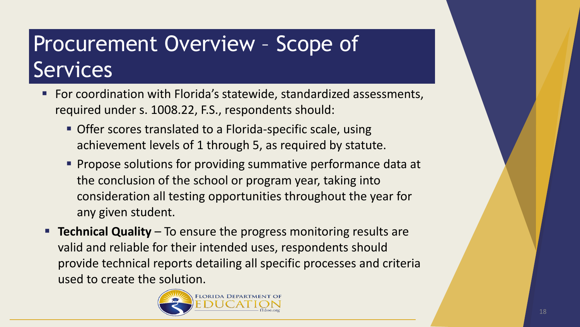- **For coordination with Florida's statewide, standardized assessments,** required under s. 1008.22, F.S., respondents should:
	- Offer scores translated to a Florida-specific scale, using achievement levels of 1 through 5, as required by statute.
	- **Propose solutions for providing summative performance data at** the conclusion of the school or program year, taking into consideration all testing opportunities throughout the year for any given student.
- **Technical Quality** To ensure the progress monitoring results are valid and reliable for their intended uses, respondents should provide technical reports detailing all specific processes and criteria used to create the solution.

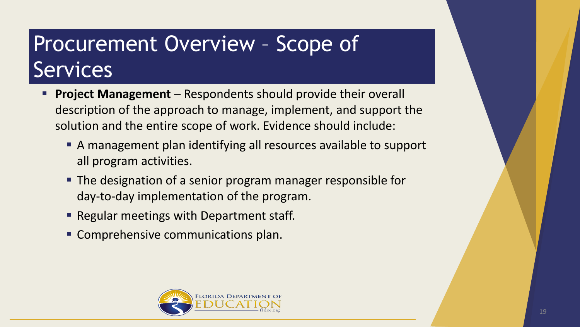- **Project Management**  Respondents should provide their overall description of the approach to manage, implement, and support the solution and the entire scope of work. Evidence should include:
	- A management plan identifying all resources available to support all program activities.
	- The designation of a senior program manager responsible for day-to-day implementation of the program.
	- Regular meetings with Department staff.
	- **Comprehensive communications plan.**

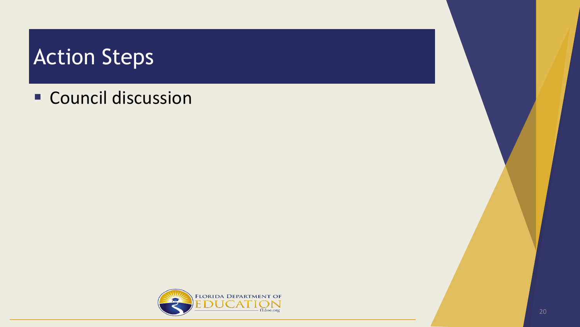#### Action Steps

**Council discussion** 

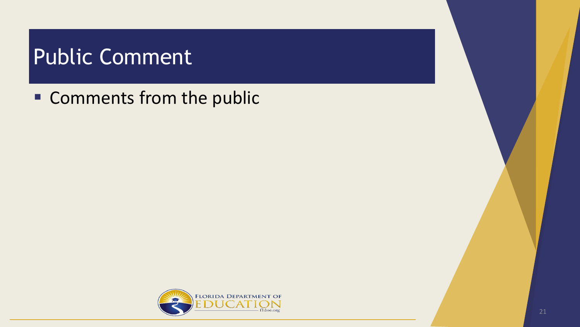#### Public Comment

**Comments from the public**